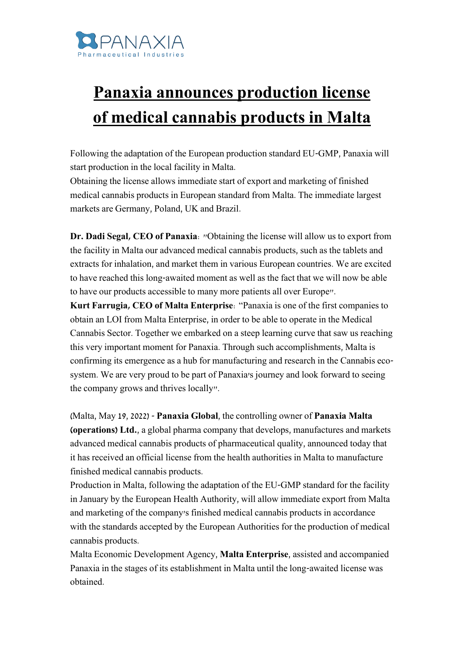

## **Panaxia announces production license of medical cannabis products in Malta**

Following the adaptation of the European production standard EU-GMP, Panaxia will start production in the local facility in Malta.

Obtaining the license allows immediate start of export and marketing of finished medical cannabis products in European standard from Malta. The immediate largest markets are Germany, Poland, UK and Brazil.

**Dr. Dadi Segal, CEO of Panaxia**: "Obtaining the license will allow us to export from the facility in Malta our advanced medical cannabis products, such as the tablets and extracts for inhalation, and market them in various European countries. We are excited to have reached this long-awaited moment as well as the fact that we will now be able to have our products accessible to many more patients all over Europe".

**Kurt Farrugia, CEO of Malta Enterprise**: "Panaxia is one of the first companies to obtain an LOI from Malta Enterprise, in order to be able to operate in the Medical Cannabis Sector. Together we embarked on a steep learning curve that saw us reaching this very important moment for Panaxia. Through such accomplishments, Malta is confirming its emergence as a hub for manufacturing and research in the Cannabis ecosystem. We are very proud to be part of Panaxia's journey and look forward to seeing the company grows and thrives locally".

(Malta, May 19, 2022) - **Panaxia Global**, the controlling owner of **Panaxia Malta (operations) Ltd.**, a global pharma company that develops, manufactures and markets advanced medical cannabis products of pharmaceutical quality, announced today that it has received an official license from the health authorities in Malta to manufacture finished medical cannabis products.

Production in Malta, following the adaptation of the EU-GMP standard for the facility in January by the European Health Authority, will allow immediate export from Malta and marketing of the company's finished medical cannabis products in accordance with the standards accepted by the European Authorities for the production of medical cannabis products.

Malta Economic Development Agency, **Malta Enterprise**, assisted and accompanied Panaxia in the stages of its establishment in Malta until the long-awaited license was obtained.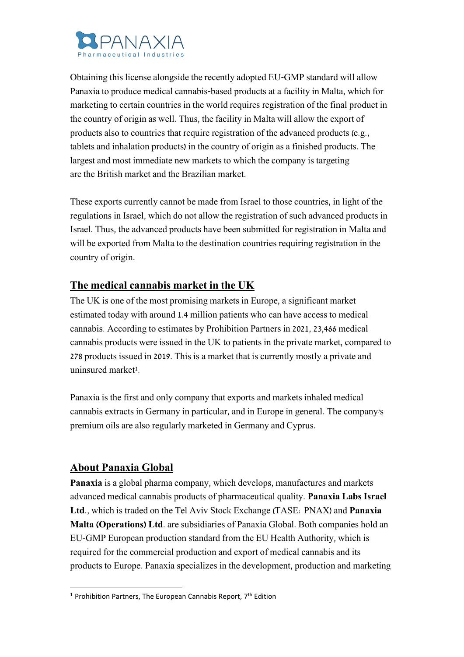

Obtaining this license alongside the recently adopted EU-GMP standard will allow Panaxia to produce medical cannabis-based products at a facility in Malta, which for marketing to certain countries in the world requires registration of the final product in the country of origin as well. Thus, the facility in Malta will allow the export of products also to countries that require registration of the advanced products (e.g., tablets and inhalation products) in the country of origin as a finished products. The largest and most immediate new markets to which the company is targeting are the British market and the Brazilian market.

These exports currently cannot be made from Israel to those countries, in light of the regulations in Israel, which do not allow the registration of such advanced products in Israel. Thus, the advanced products have been submitted for registration in Malta and will be exported from Malta to the destination countries requiring registration in the country of origin.

## **The medical cannabis market in the UK**

The UK is one of the most promising markets in Europe, a significant market estimated today with around 1.4 million patients who can have access to medical cannabis. According to estimates by Prohibition Partners in 2021, 23,466 medical cannabis products were issued in the UK to patients in the private market, compared to 278 products issued in 2019. This is a market that is currently mostly a private and uninsured market<sup>1</sup>.

Panaxia is the first and only company that exports and markets inhaled medical cannabis extracts in Germany in particular, and in Europe in general. The company's premium oils are also regularly marketed in Germany and Cyprus.

## **About Panaxia Global**

**Panaxia** is a global pharma company, which develops, manufactures and markets advanced medical cannabis products of pharmaceutical quality. **Panaxia Labs Israel Ltd**., which is traded on the Tel Aviv Stock Exchange (TASE: PNAX) and **Panaxia Malta (Operations) Ltd**. are subsidiaries of Panaxia Global. Both companies hold an EU-GMP European production standard from the EU Health Authority, which is required for the commercial production and export of medical cannabis and its products to Europe. Panaxia specializes in the development, production and marketing

<sup>&</sup>lt;sup>1</sup> Prohibition Partners, The European Cannabis Report,  $7<sup>th</sup>$  Edition